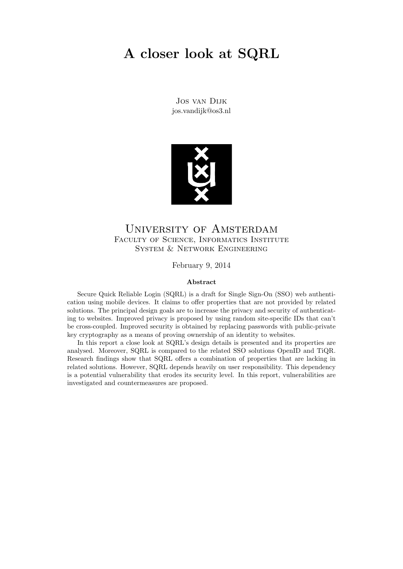# A closer look at SQRL

Jos van Dijk jos.vandijk@os3.nl



## University of Amsterdam FACULTY OF SCIENCE, INFORMATICS INSTITUTE System & Network Engineering

February 9, 2014

#### Abstract

Secure Quick Reliable Login (SQRL) is a draft for Single Sign-On (SSO) web authentication using mobile devices. It claims to offer properties that are not provided by related solutions. The principal design goals are to increase the privacy and security of authenticating to websites. Improved privacy is proposed by using random site-specific IDs that can't be cross-coupled. Improved security is obtained by replacing passwords with public-private key cryptography as a means of proving ownership of an identity to websites.

In this report a close look at SQRL's design details is presented and its properties are analysed. Moreover, SQRL is compared to the related SSO solutions OpenID and TiQR. Research findings show that SQRL offers a combination of properties that are lacking in related solutions. However, SQRL depends heavily on user responsibility. This dependency is a potential vulnerability that erodes its security level. In this report, vulnerabilities are investigated and countermeasures are proposed.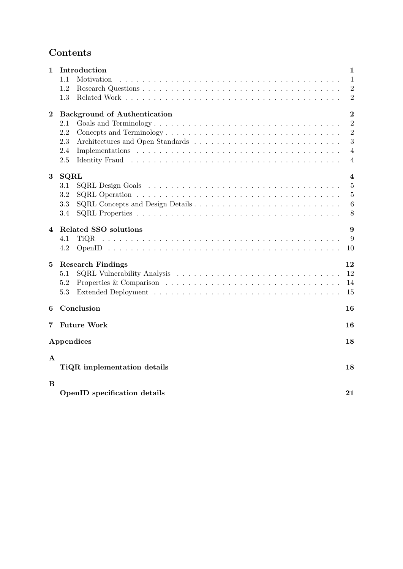# Contents

| 1        | Introduction                                                                                                       | $\mathbf{1}$     |
|----------|--------------------------------------------------------------------------------------------------------------------|------------------|
|          | 1.1<br>Motivation                                                                                                  | $\mathbf{1}$     |
|          | 1.2                                                                                                                | $\overline{2}$   |
|          | 1.3                                                                                                                | $\boldsymbol{2}$ |
| $\bf{2}$ | <b>Background of Authentication</b>                                                                                | $\boldsymbol{2}$ |
|          | 2.1                                                                                                                | $\overline{2}$   |
|          | Concepts and Terminology<br>2.2                                                                                    | $\overline{2}$   |
|          | 2.3                                                                                                                | 3                |
|          | 2.4                                                                                                                | $\overline{4}$   |
|          | 2.5                                                                                                                | $\overline{4}$   |
| 3        | SQRL                                                                                                               | $\overline{4}$   |
|          | 3.1                                                                                                                | $\overline{5}$   |
|          | 3.2<br>SQRL Operation $\ldots \ldots \ldots \ldots \ldots \ldots \ldots \ldots \ldots \ldots \ldots \ldots \ldots$ | $\overline{5}$   |
|          | 3.3                                                                                                                | 6                |
|          | 3.4                                                                                                                | 8                |
| 4        | Related SSO solutions                                                                                              | 9                |
|          | 4.1<br>TiQR                                                                                                        | 9                |
|          | 4.2                                                                                                                | 10               |
| 5        | <b>Research Findings</b>                                                                                           | 12               |
|          | 5.1                                                                                                                | 12               |
|          | 5.2                                                                                                                | 14               |
|          | 5.3                                                                                                                | 15               |
| 6        | Conclusion                                                                                                         | 16               |
| 7        | <b>Future Work</b>                                                                                                 | 16               |
|          |                                                                                                                    |                  |
|          | Appendices                                                                                                         | 18               |
| A        |                                                                                                                    |                  |
|          | TiQR implementation details                                                                                        | 18               |
| $\bf{B}$ |                                                                                                                    |                  |
|          | OpenID specification details                                                                                       | 21               |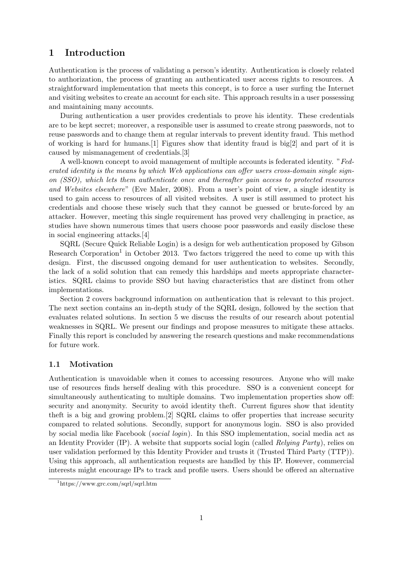## 1 Introduction

Authentication is the process of validating a person's identity. Authentication is closely related to authorization, the process of granting an authenticated user access rights to resources. A straightforward implementation that meets this concept, is to force a user surfing the Internet and visiting websites to create an account for each site. This approach results in a user possessing and maintaining many accounts.

During authentication a user provides credentials to prove his identity. These credentials are to be kept secret; moreover, a responsible user is assumed to create strong passwords, not to reuse passwords and to change them at regular intervals to prevent identity fraud. This method of working is hard for humans. [1] Figures show that identity fraud is  $big[2]$  and part of it is caused by mismanagement of credentials.[3]

A well-known concept to avoid management of multiple accounts is federated identity. "Federated identity is the means by which Web applications can offer users cross-domain single signon (SSO), which lets them authenticate once and thereafter gain access to protected resources and Websites elsewhere" (Eve Maler, 2008). From a user's point of view, a single identity is used to gain access to resources of all visited websites. A user is still assumed to protect his credentials and choose these wisely such that they cannot be guessed or brute-forced by an attacker. However, meeting this single requirement has proved very challenging in practice, as studies have shown numerous times that users choose poor passwords and easily disclose these in social engineering attacks.[4]

SQRL (Secure Quick Reliable Login) is a design for web authentication proposed by Gibson Research Corporation<sup>1</sup> in October 2013. Two factors triggered the need to come up with this design. First, the discussed ongoing demand for user authentication to websites. Secondly, the lack of a solid solution that can remedy this hardships and meets appropriate characteristics. SQRL claims to provide SSO but having characteristics that are distinct from other implementations.

Section 2 covers background information on authentication that is relevant to this project. The next section contains an in-depth study of the SQRL design, followed by the section that evaluates related solutions. In section 5 we discuss the results of our research about potential weaknesses in SQRL. We present our findings and propose measures to mitigate these attacks. Finally this report is concluded by answering the research questions and make recommendations for future work.

#### 1.1 Motivation

Authentication is unavoidable when it comes to accessing resources. Anyone who will make use of resources finds herself dealing with this procedure. SSO is a convenient concept for simultaneously authenticating to multiple domains. Two implementation properties show off: security and anonymity. Security to avoid identity theft. Current figures show that identity theft is a big and growing problem.[2] SQRL claims to offer properties that increase security compared to related solutions. Secondly, support for anonymous login. SSO is also provided by social media like Facebook (social login). In this SSO implementation, social media act as an Identity Provider (IP). A website that supports social login (called Relying Party), relies on user validation performed by this Identity Provider and trusts it (Trusted Third Party (TTP)). Using this approach, all authentication requests are handled by this IP. However, commercial interests might encourage IPs to track and profile users. Users should be offered an alternative

<sup>1</sup>https://www.grc.com/sqrl/sqrl.htm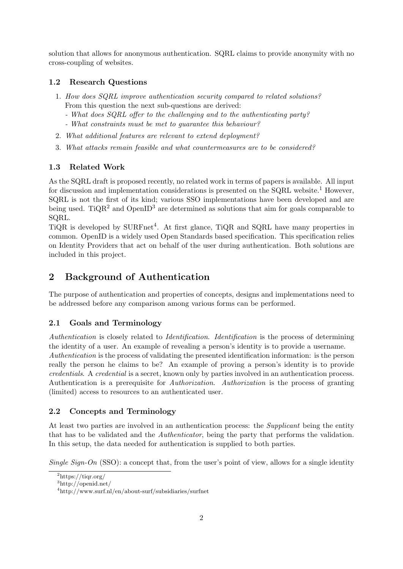solution that allows for anonymous authentication. SQRL claims to provide anonymity with no cross-coupling of websites.

#### 1.2 Research Questions

- 1. How does SQRL improve authentication security compared to related solutions? From this question the next sub-questions are derived:
	- What does SQRL offer to the challenging and to the authenticating party?
	- What constraints must be met to guarantee this behaviour?
- 2. What additional features are relevant to extend deployment?
- 3. What attacks remain feasible and what countermeasures are to be considered?

#### 1.3 Related Work

As the SQRL draft is proposed recently, no related work in terms of papers is available. All input for discussion and implementation considerations is presented on the  $SQRL$  website.<sup>1</sup> However, SQRL is not the first of its kind; various SSO implementations have been developed and are being used. TiQR<sup>2</sup> and OpenID<sup>3</sup> are determined as solutions that aim for goals comparable to SQRL.

TiQR is developed by  $\text{SURFnet}^4$ . At first glance, TiQR and SQRL have many properties in common. OpenID is a widely used Open Standards based specification. This specification relies on Identity Providers that act on behalf of the user during authentication. Both solutions are included in this project.

## 2 Background of Authentication

The purpose of authentication and properties of concepts, designs and implementations need to be addressed before any comparison among various forms can be performed.

### 2.1 Goals and Terminology

Authentication is closely related to Identification. Identification is the process of determining the identity of a user. An example of revealing a person's identity is to provide a username. Authentication is the process of validating the presented identification information: is the person really the person he claims to be? An example of proving a person's identity is to provide credentials. A credential is a secret, known only by parties involved in an authentication process. Authentication is a prerequisite for Authorization. Authorization is the process of granting (limited) access to resources to an authenticated user.

#### 2.2 Concepts and Terminology

At least two parties are involved in an authentication process: the *Supplicant* being the entity that has to be validated and the Authenticator, being the party that performs the validation. In this setup, the data needed for authentication is supplied to both parties.

*Single Sign-On* (SSO): a concept that, from the user's point of view, allows for a single identity

 $^{2}$ https://tigr.org/

<sup>3</sup>http://openid.net/

<sup>4</sup>http://www.surf.nl/en/about-surf/subsidiaries/surfnet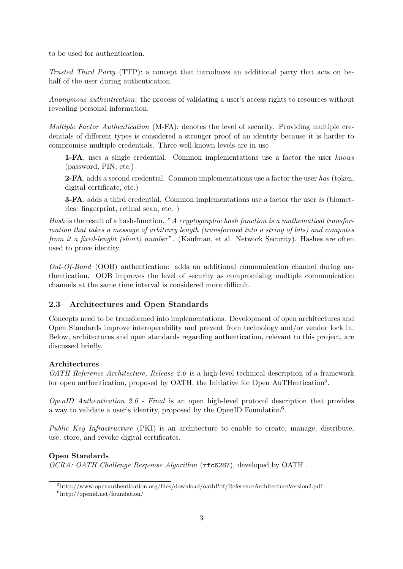to be used for authentication.

Trusted Third Party (TTP): a concept that introduces an additional party that acts on behalf of the user during authentication.

Anonymous authentication: the process of validating a user's access rights to resources without revealing personal information.

Multiple Factor Authentication (M-FA): denotes the level of security. Providing multiple credentials of different types is considered a stronger proof of an identity because it is harder to compromise multiple credentials. Three well-known levels are in use

1-FA, uses a single credential. Common implementations use a factor the user knows (password, PIN, etc.)

**2-FA**, adds a second credential. Common implementations use a factor the user has (token, digital certificate, etc.)

**3-FA**, adds a third credential. Common implementations use a factor the user is (biometrics: fingerprint, retinal scan, etc. )

Hash is the result of a hash-function. "A cryptographic hash function is a mathematical transformation that takes a message of arbitrary length (transformed into a string of bits) and computes from it a fixed-lenght (short) number". (Kaufman, et al. Network Security). Hashes are often used to prove identity.

Out-Of-Band (OOB) authentication: adds an additional communication channel during authentication. OOB improves the level of security as compromising multiple communication channels at the same time interval is considered more difficult.

#### 2.3 Architectures and Open Standards

Concepts need to be transformed into implementations. Development of open architectures and Open Standards improve interoperability and prevent from technology and/or vendor lock in. Below, architectures and open standards regarding authentication, relevant to this project, are discussed briefly.

#### Architectures

OATH Reference Architecture, Release 2.0 is a high-level technical description of a framework for open authentication, proposed by OATH, the Initiative for Open AuTHentication<sup>5</sup>.

OpenID Authentication 2.0 - Final is an open high-level protocol description that provides a way to validate a user's identity, proposed by the OpenID Foundation<sup>6</sup>.

Public Key Infrastructure (PKI) is an architecture to enable to create, manage, distribute, use, store, and revoke digital certificates.

#### Open Standards

OCRA: OATH Challenge Response Algorithm (rfc6287), developed by OATH.

<sup>5</sup>http://www.openauthentication.org/files/download/oathPdf/ReferenceArchitectureVersion2.pdf <sup>6</sup>http://openid.net/foundation/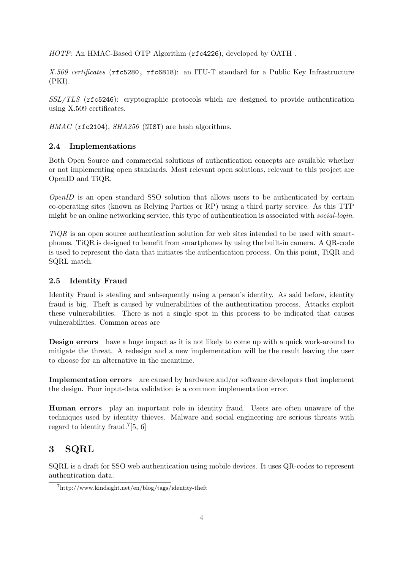HOTP: An HMAC-Based OTP Algorithm (rfc4226), developed by OATH .

X.509 certificates (rfc5280, rfc6818): an ITU-T standard for a Public Key Infrastructure (PKI).

SSL/TLS (rfc5246): cryptographic protocols which are designed to provide authentication using X.509 certificates.

 $HMAC$  (rfc2104),  $SHA256$  (NIST) are hash algorithms.

### 2.4 Implementations

Both Open Source and commercial solutions of authentication concepts are available whether or not implementing open standards. Most relevant open solutions, relevant to this project are OpenID and TiQR.

OpenID is an open standard SSO solution that allows users to be authenticated by certain co-operating sites (known as Relying Parties or RP) using a third party service. As this TTP might be an online networking service, this type of authentication is associated with social-login.

 $TiQR$  is an open source authentication solution for web sites intended to be used with smartphones. TiQR is designed to benefit from smartphones by using the built-in camera. A QR-code is used to represent the data that initiates the authentication process. On this point, TiQR and SQRL match.

#### 2.5 Identity Fraud

Identity Fraud is stealing and subsequently using a person's identity. As said before, identity fraud is big. Theft is caused by vulnerabilities of the authentication process. Attacks exploit these vulnerabilities. There is not a single spot in this process to be indicated that causes vulnerabilities. Common areas are

Design errors have a huge impact as it is not likely to come up with a quick work-around to mitigate the threat. A redesign and a new implementation will be the result leaving the user to choose for an alternative in the meantime.

Implementation errors are caused by hardware and/or software developers that implement the design. Poor input-data validation is a common implementation error.

Human errors play an important role in identity fraud. Users are often unaware of the techniques used by identity thieves. Malware and social engineering are serious threats with regard to identity fraud.<sup>7</sup>[5, 6]

# 3 SQRL

SQRL is a draft for SSO web authentication using mobile devices. It uses QR-codes to represent authentication data.

<sup>7</sup>http://www.kindsight.net/en/blog/tags/identity-theft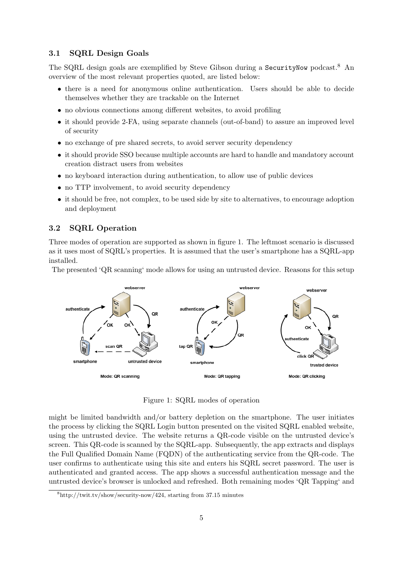#### 3.1 SQRL Design Goals

The SQRL design goals are exemplified by Steve Gibson during a SecurityNow podcast.<sup>8</sup> An overview of the most relevant properties quoted, are listed below:

- there is a need for anonymous online authentication. Users should be able to decide themselves whether they are trackable on the Internet
- no obvious connections among different websites, to avoid profiling
- it should provide 2-FA, using separate channels (out-of-band) to assure an improved level of security
- no exchange of pre shared secrets, to avoid server security dependency
- it should provide SSO because multiple accounts are hard to handle and mandatory account creation distract users from websites
- no keyboard interaction during authentication, to allow use of public devices
- no TTP involvement, to avoid security dependency
- it should be free, not complex, to be used side by site to alternatives, to encourage adoption and deployment

#### 3.2 SQRL Operation

Three modes of operation are supported as shown in figure 1. The leftmost scenario is discussed as it uses most of SQRL's properties. It is assumed that the user's smartphone has a SQRL-app installed.

The presented 'QR scanning' mode allows for using an untrusted device. Reasons for this setup



Figure 1: SQRL modes of operation

might be limited bandwidth and/or battery depletion on the smartphone. The user initiates the process by clicking the SQRL Login button presented on the visited SQRL enabled website, using the untrusted device. The website returns a QR-code visible on the untrusted device's screen. This QR-code is scanned by the SQRL-app. Subsequently, the app extracts and displays the Full Qualified Domain Name (FQDN) of the authenticating service from the QR-code. The user confirms to authenticate using this site and enters his SQRL secret password. The user is authenticated and granted access. The app shows a successful authentication message and the untrusted device's browser is unlocked and refreshed. Both remaining modes 'QR Tapping' and

 $8$ http://twit.tv/show/security-now/424, starting from 37.15 minutes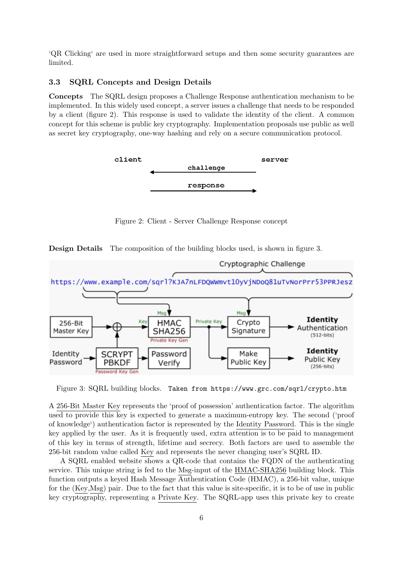'QR Clicking' are used in more straightforward setups and then some security guarantees are limited.

#### 3.3 SQRL Concepts and Design Details

Concepts The SQRL design proposes a Challenge Response authentication mechanism to be implemented. In this widely used concept, a server issues a challenge that needs to be responded by a client (figure 2). This response is used to validate the identity of the client. A common concept for this scheme is public key cryptography. Implementation proposals use public as well as secret key cryptography, one-way hashing and rely on a secure communication protocol.



Figure 2: Client - Server Challenge Response concept

Design Details The composition of the building blocks used, is shown in figure 3.



Figure 3: SQRL building blocks. Taken from https://www.grc.com/sqrl/crypto.htm

A 256-Bit Master Key represents the 'proof of possession' authentication factor. The algorithm used to provide this key is expected to generate a maximum-entropy key. The second ('proof of knowledge') authentication factor is represented by the Identity Password. This is the single key applied by the user. As it is frequently used, extra attention is to be paid to management of this key in terms of strength, lifetime and secrecy. Both factors are used to assemble the 256-bit random value called Key and represents the never changing user's SQRL ID.

A SQRL enabled website shows a QR-code that contains the FQDN of the authenticating service. This unique string is fed to the Msg-input of the HMAC-SHA256 building block. This function outputs a keyed Hash Message Authentication Code (HMAC), a 256-bit value, unique for the (Key,Msg) pair. Due to the fact that this value is site-specific, it is to be of use in public key cryptography, representing a Private Key. The SQRL-app uses this private key to create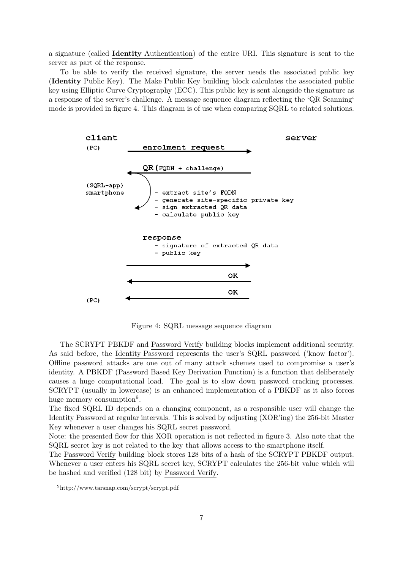a signature (called Identity Authentication) of the entire URI. This signature is sent to the server as part of the response.

To be able to verify the received signature, the server needs the associated public key (Identity Public Key). The Make Public Key building block calculates the associated public key using Elliptic Curve Cryptography (ECC). This public key is sent alongside the signature as a response of the server's challenge. A message sequence diagram reflecting the 'QR Scanning' mode is provided in figure 4. This diagram is of use when comparing SQRL to related solutions.



Figure 4: SQRL message sequence diagram

The SCRYPT PBKDF and Password Verify building blocks implement additional security. As said before, the Identity Password represents the user's SQRL password ('know factor'). Offline password attacks are one out of many attack schemes used to compromise a user's identity. A PBKDF (Password Based Key Derivation Function) is a function that deliberately causes a huge computational load. The goal is to slow down password cracking processes. SCRYPT (usually in lowercase) is an enhanced implementation of a PBKDF as it also forces huge memory consumption<sup>9</sup>.

The fixed SQRL ID depends on a changing component, as a responsible user will change the Identity Password at regular intervals. This is solved by adjusting (XOR'ing) the 256-bit Master Key whenever a user changes his SQRL secret password.

Note: the presented flow for this XOR operation is not reflected in figure 3. Also note that the SQRL secret key is not related to the key that allows access to the smartphone itself.

The Password Verify building block stores 128 bits of a hash of the SCRYPT PBKDF output. Whenever a user enters his SQRL secret key, SCRYPT calculates the 256-bit value which will be hashed and verified (128 bit) by Password Verify.

<sup>9</sup>http://www.tarsnap.com/scrypt/scrypt.pdf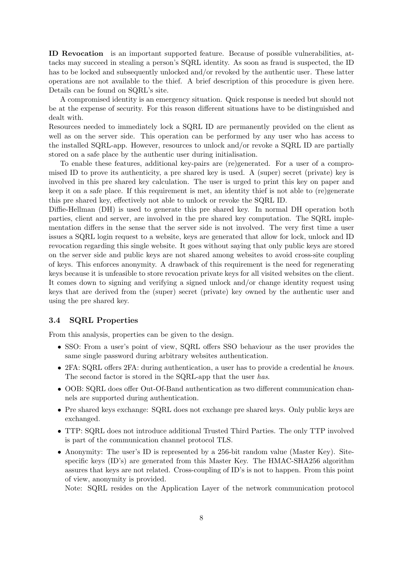ID Revocation is an important supported feature. Because of possible vulnerabilities, attacks may succeed in stealing a person's SQRL identity. As soon as fraud is suspected, the ID has to be locked and subsequently unlocked and/or revoked by the authentic user. These latter operations are not available to the thief. A brief description of this procedure is given here. Details can be found on SQRL's site.

A compromised identity is an emergency situation. Quick response is needed but should not be at the expense of security. For this reason different situations have to be distinguished and dealt with.

Resources needed to immediately lock a SQRL ID are permanently provided on the client as well as on the server side. This operation can be performed by any user who has access to the installed SQRL-app. However, resources to unlock and/or revoke a SQRL ID are partially stored on a safe place by the authentic user during initialisation.

To enable these features, additional key-pairs are (re)generated. For a user of a compromised ID to prove its authenticity, a pre shared key is used. A (super) secret (private) key is involved in this pre shared key calculation. The user is urged to print this key on paper and keep it on a safe place. If this requirement is met, an identity thief is not able to (re)generate this pre shared key, effectively not able to unlock or revoke the SQRL ID.

Diffie-Hellman (DH) is used to generate this pre shared key. In normal DH operation both parties, client and server, are involved in the pre shared key computation. The SQRL implementation differs in the sense that the server side is not involved. The very first time a user issues a SQRL login request to a website, keys are generated that allow for lock, unlock and ID revocation regarding this single website. It goes without saying that only public keys are stored on the server side and public keys are not shared among websites to avoid cross-site coupling of keys. This enforces anonymity. A drawback of this requirement is the need for regenerating keys because it is unfeasible to store revocation private keys for all visited websites on the client. It comes down to signing and verifying a signed unlock and/or change identity request using keys that are derived from the (super) secret (private) key owned by the authentic user and using the pre shared key.

#### 3.4 SQRL Properties

From this analysis, properties can be given to the design.

- SSO: From a user's point of view, SQRL offers SSO behaviour as the user provides the same single password during arbitrary websites authentication.
- 2FA: SQRL offers 2FA: during authentication, a user has to provide a credential he knows. The second factor is stored in the SQRL-app that the user has.
- OOB: SQRL does offer Out-Of-Band authentication as two different communication channels are supported during authentication.
- Pre shared keys exchange: SQRL does not exchange pre shared keys. Only public keys are exchanged.
- TTP: SQRL does not introduce additional Trusted Third Parties. The only TTP involved is part of the communication channel protocol TLS.
- Anonymity: The user's ID is represented by a 256-bit random value (Master Key). Sitespecific keys (ID's) are generated from this Master Key. The HMAC-SHA256 algorithm assures that keys are not related. Cross-coupling of ID's is not to happen. From this point of view, anonymity is provided.

Note: SQRL resides on the Application Layer of the network communication protocol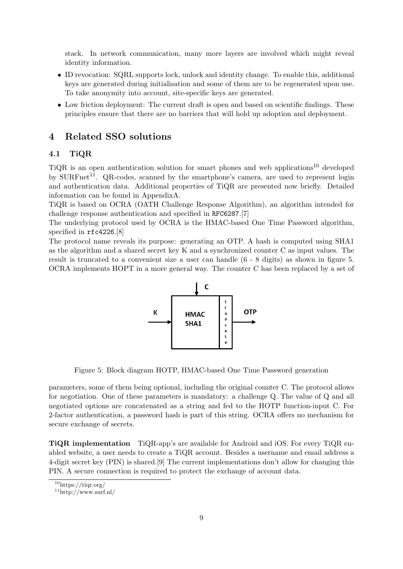stack. In network communication, many more layers are involved which might reveal identity information.

- ID revocation: SQRL supports lock, unlock and identity change. To enable this, additional keys are generated during initialisation and some of them are to be regenerated upon use. To take anonymity into account, site-specific keys are generated.
- Low friction deployment: The current draft is open and based on scientific findings. These principles ensure that there are no barriers that will hold up adoption and deployment.

## 4 Related SSO solutions

#### 4.1 TiQR

 $TiQR$  is an open authentication solution for smart phones and web applications<sup>10</sup> developed by SURFnet<sup>11</sup>. QR-codes, scanned by the smartphone's camera, are used to represent login and authentication data. Additional properties of TiQR are presented now briefly. Detailed information can be found in AppendixA.

TiQR is based on OCRA (OATH Challenge Response Algorithm), an algorithm intended for challenge response authentication and specified in RFC6287.[7]

The underlying protocol used by OCRA is the HMAC-based One Time Password algorithm, specified in rfc4226.[8]

The protocol name reveals its purpose: generating an OTP. A hash is computed using SHA1 as the algorithm and a shared secret key K and a synchronized counter C as input values. The result is truncated to a convenient size a user can handle (6 - 8 digits) as shown in figure 5. OCRA implements HOPT in a more general way. The counter C has been replaced by a set of



Figure 5: Block diagram HOTP, HMAC-based One Time Password generation

parameters, some of them being optional, including the original counter C. The protocol allows for negotiation. One of these parameters is mandatory: a challenge Q. The value of Q and all negotiated options are concatenated as a string and fed to the HOTP function-input C. For 2-factor authentication, a password hash is part of this string. OCRA offers no mechanism for secure exchange of secrets.

TiQR implementation TiQR-app's are available for Android and iOS. For every TiQR enabled website, a user needs to create a TiQR account. Besides a username and email address a 4-digit secret key (PIN) is shared.[9] The current implementations don't allow for changing this PIN. A secure connection is required to protect the exchange of account data.

<sup>10</sup>https://tiqr.org/

 $11$ http://www.surf.nl/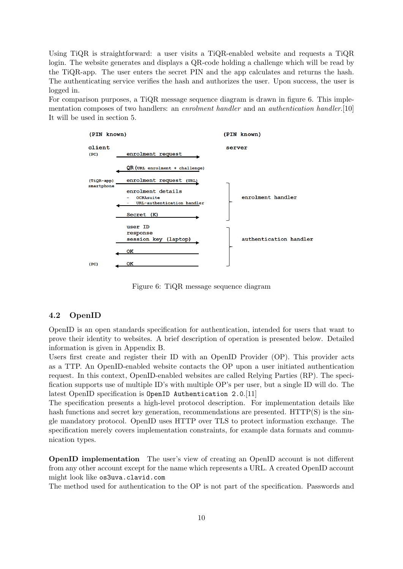Using TiQR is straightforward: a user visits a TiQR-enabled website and requests a TiQR login. The website generates and displays a QR-code holding a challenge which will be read by the TiQR-app. The user enters the secret PIN and the app calculates and returns the hash. The authenticating service verifies the hash and authorizes the user. Upon success, the user is logged in.

For comparison purposes, a TiQR message sequence diagram is drawn in figure 6. This implementation composes of two handlers: an *enrolment handler* and an *authentication handler*.[10] It will be used in section 5.



Figure 6: TiQR message sequence diagram

#### 4.2 OpenID

OpenID is an open standards specification for authentication, intended for users that want to prove their identity to websites. A brief description of operation is presented below. Detailed information is given in Appendix B.

Users first create and register their ID with an OpenID Provider (OP). This provider acts as a TTP. An OpenID-enabled website contacts the OP upon a user initiated authentication request. In this context, OpenID-enabled websites are called Relying Parties (RP). The specification supports use of multiple ID's with multiple OP's per user, but a single ID will do. The latest OpenID specification is OpenID Authentication 2.0.[11]

The specification presents a high-level protocol description. For implementation details like hash functions and secret key generation, recommendations are presented. HTTP(S) is the single mandatory protocol. OpenID uses HTTP over TLS to protect information exchange. The specification merely covers implementation constraints, for example data formats and communication types.

OpenID implementation The user's view of creating an OpenID account is not different from any other account except for the name which represents a URL. A created OpenID account might look like os3uva.clavid.com

The method used for authentication to the OP is not part of the specification. Passwords and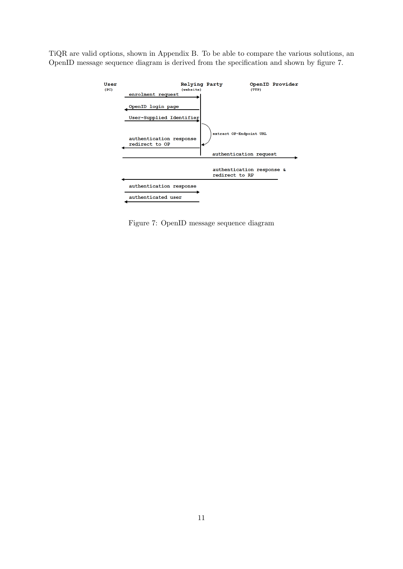TiQR are valid options, shown in Appendix B. To be able to compare the various solutions, an OpenID message sequence diagram is derived from the specification and shown by figure 7.



Figure 7: OpenID message sequence diagram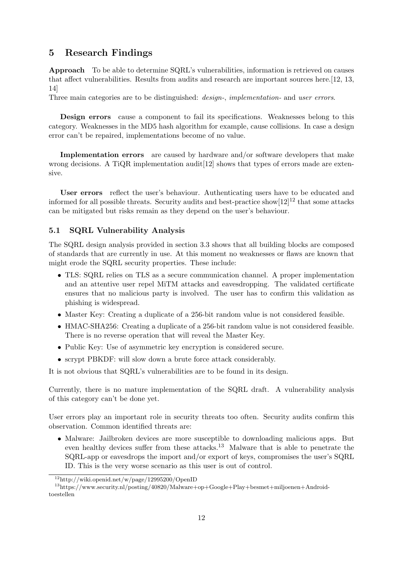### 5 Research Findings

Approach To be able to determine SQRL's vulnerabilities, information is retrieved on causes that affect vulnerabilities. Results from audits and research are important sources here.[12, 13, 14]

Three main categories are to be distinguished: *design-*, *implementation*- and *user errors*.

Design errors cause a component to fail its specifications. Weaknesses belong to this category. Weaknesses in the MD5 hash algorithm for example, cause collisions. In case a design error can't be repaired, implementations become of no value.

Implementation errors are caused by hardware and/or software developers that make wrong decisions. A TiQR implementation audit  $[12]$  shows that types of errors made are extensive.

User errors reflect the user's behaviour. Authenticating users have to be educated and informed for all possible threats. Security audits and best-practice show $[12]^{12}$  that some attacks can be mitigated but risks remain as they depend on the user's behaviour.

#### 5.1 SQRL Vulnerability Analysis

The SQRL design analysis provided in section 3.3 shows that all building blocks are composed of standards that are currently in use. At this moment no weaknesses or flaws are known that might erode the SQRL security properties. These include:

- TLS: SQRL relies on TLS as a secure communication channel. A proper implementation and an attentive user repel MiTM attacks and eavesdropping. The validated certificate ensures that no malicious party is involved. The user has to confirm this validation as phishing is widespread.
- Master Key: Creating a duplicate of a 256-bit random value is not considered feasible.
- HMAC-SHA256: Creating a duplicate of a 256-bit random value is not considered feasible. There is no reverse operation that will reveal the Master Key.
- Public Key: Use of asymmetric key encryption is considered secure.
- scrypt PBKDF: will slow down a brute force attack considerably.

It is not obvious that SQRL's vulnerabilities are to be found in its design.

Currently, there is no mature implementation of the SQRL draft. A vulnerability analysis of this category can't be done yet.

User errors play an important role in security threats too often. Security audits confirm this observation. Common identified threats are:

• Malware: Jailbroken devices are more susceptible to downloading malicious apps. But even healthy devices suffer from these attacks.<sup>13</sup> Malware that is able to penetrate the SQRL-app or eavesdrops the import and/or export of keys, compromises the user's SQRL ID. This is the very worse scenario as this user is out of control.

<sup>12</sup>http://wiki.openid.net/w/page/12995200/OpenID

<sup>13</sup>https://www.security.nl/posting/40820/Malware+op+Google+Play+besmet+miljoenen+Androidtoestellen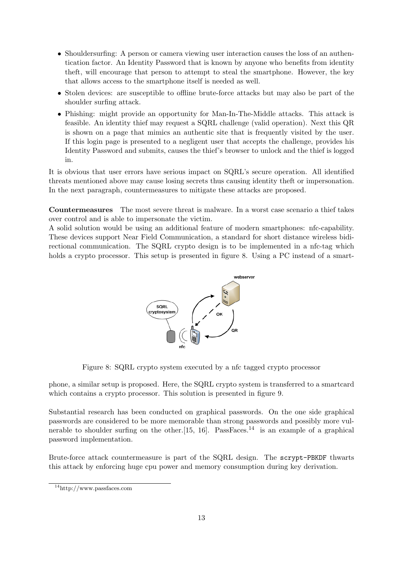- Shoulder surfing: A person or camera viewing user interaction causes the loss of an authentication factor. An Identity Password that is known by anyone who benefits from identity theft, will encourage that person to attempt to steal the smartphone. However, the key that allows access to the smartphone itself is needed as well.
- Stolen devices: are susceptible to offline brute-force attacks but may also be part of the shoulder surfing attack.
- Phishing: might provide an opportunity for Man-In-The-Middle attacks. This attack is feasible. An identity thief may request a SQRL challenge (valid operation). Next this QR is shown on a page that mimics an authentic site that is frequently visited by the user. If this login page is presented to a negligent user that accepts the challenge, provides his Identity Password and submits, causes the thief's browser to unlock and the thief is logged in.

It is obvious that user errors have serious impact on SQRL's secure operation. All identified threats mentioned above may cause losing secrets thus causing identity theft or impersonation. In the next paragraph, countermeasures to mitigate these attacks are proposed.

Countermeasures The most severe threat is malware. In a worst case scenario a thief takes over control and is able to impersonate the victim.

A solid solution would be using an additional feature of modern smartphones: nfc-capability. These devices support Near Field Communication, a standard for short distance wireless bidirectional communication. The SQRL crypto design is to be implemented in a nfc-tag which holds a crypto processor. This setup is presented in figure 8. Using a PC instead of a smart-



Figure 8: SQRL crypto system executed by a nfc tagged crypto processor

phone, a similar setup is proposed. Here, the SQRL crypto system is transferred to a smartcard which contains a crypto processor. This solution is presented in figure 9.

Substantial research has been conducted on graphical passwords. On the one side graphical passwords are considered to be more memorable than strong passwords and possibly more vulnerable to shoulder surfing on the other. [15, 16]. PassFaces.<sup>14</sup> is an example of a graphical password implementation.

Brute-force attack countermeasure is part of the SQRL design. The scrypt-PBKDF thwarts this attack by enforcing huge cpu power and memory consumption during key derivation.

<sup>14</sup>http://www.passfaces.com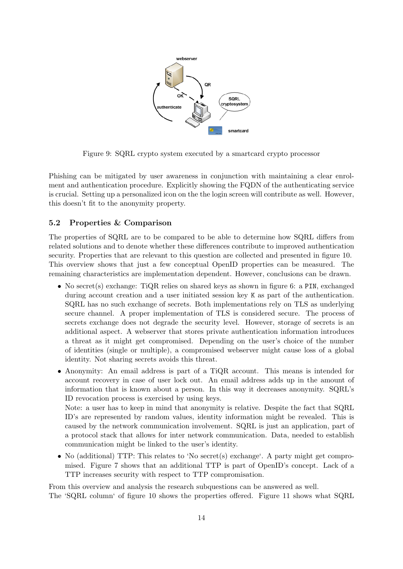

Figure 9: SQRL crypto system executed by a smartcard crypto processor

Phishing can be mitigated by user awareness in conjunction with maintaining a clear enrolment and authentication procedure. Explicitly showing the FQDN of the authenticating service is crucial. Setting up a personalized icon on the the login screen will contribute as well. However, this doesn't fit to the anonymity property.

#### 5.2 Properties & Comparison

The properties of SQRL are to be compared to be able to determine how SQRL differs from related solutions and to denote whether these differences contribute to improved authentication security. Properties that are relevant to this question are collected and presented in figure 10. This overview shows that just a few conceptual OpenID properties can be measured. The remaining characteristics are implementation dependent. However, conclusions can be drawn.

- No secret(s) exchange: TiQR relies on shared keys as shown in figure 6: a PIN, exchanged during account creation and a user initiated session key K as part of the authentication. SQRL has no such exchange of secrets. Both implementations rely on TLS as underlying secure channel. A proper implementation of TLS is considered secure. The process of secrets exchange does not degrade the security level. However, storage of secrets is an additional aspect. A webserver that stores private authentication information introduces a threat as it might get compromised. Depending on the user's choice of the number of identities (single or multiple), a compromised webserver might cause loss of a global identity. Not sharing secrets avoids this threat.
- Anonymity: An email address is part of a TiQR account. This means is intended for account recovery in case of user lock out. An email address adds up in the amount of information that is known about a person. In this way it decreases anonymity. SQRL's ID revocation process is exercised by using keys.

Note: a user has to keep in mind that anonymity is relative. Despite the fact that SQRL ID's are represented by random values, identity information might be revealed. This is caused by the network communication involvement. SQRL is just an application, part of a protocol stack that allows for inter network communication. Data, needed to establish communication might be linked to the user's identity.

• No (additional) TTP: This relates to 'No secret(s) exchange'. A party might get compromised. Figure 7 shows that an additional TTP is part of OpenID's concept. Lack of a TTP increases security with respect to TTP compromisation.

From this overview and analysis the research subquestions can be answered as well. The 'SQRL column' of figure 10 shows the properties offered. Figure 11 shows what SQRL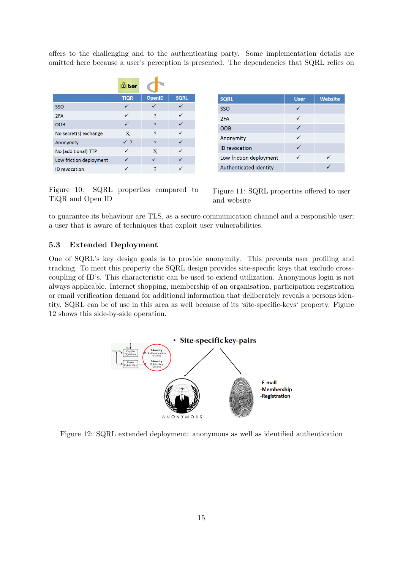offers to the challenging and to the authenticating party. Some implementation details are omitted here because a user's perception is presented. The dependencies that SQRL relies on

|                         | <b>d</b> tior |        |             |
|-------------------------|---------------|--------|-------------|
|                         | <b>TiQR</b>   | OpenID | <b>SQRL</b> |
| <b>SSO</b>              |               |        |             |
| 2FA                     | ✓             | 2      |             |
| <b>OOB</b>              |               | 2      |             |
| No secret(s) exchange   | X             | 2      |             |
| Anonymity               | √ ?           | 2      |             |
| No (additional) TTP     |               | X      |             |
| Low friction deployment |               |        |             |
| <b>ID</b> revocation    |               |        |             |

Figure 10: SQRL properties compared to TiQR and Open ID

| <b>SQRL</b>             | <b>User</b> | <b>Website</b> |
|-------------------------|-------------|----------------|
| <b>SSO</b>              |             |                |
| 2FA                     |             |                |
| <b>OOB</b>              |             |                |
| Anonymity               |             |                |
| <b>ID</b> revocation    |             |                |
| Low friction deployment |             |                |
| Authenticated identity  |             |                |

Figure 11: SQRL properties offered to user and website

to guarantee its behaviour are TLS, as a secure communication channel and a responsible user; a user that is aware of techniques that exploit user vulnerabilities.

#### 5.3 Extended Deployment

One of SQRL's key design goals is to provide anonymity. This prevents user profiling and tracking. To meet this property the SQRL design provides site-specific keys that exclude crosscoupling of ID's. This characteristic can be used to extend utilization. Anonymous login is not always applicable. Internet shopping, membership of an organisation, participation registration or email verification demand for additional information that deliberately reveals a persons identity. SQRL can be of use in this area as well because of its 'site-specific-keys' property. Figure 12 shows this side-by-side operation.



Figure 12: SQRL extended deployment: anonymous as well as identified authentication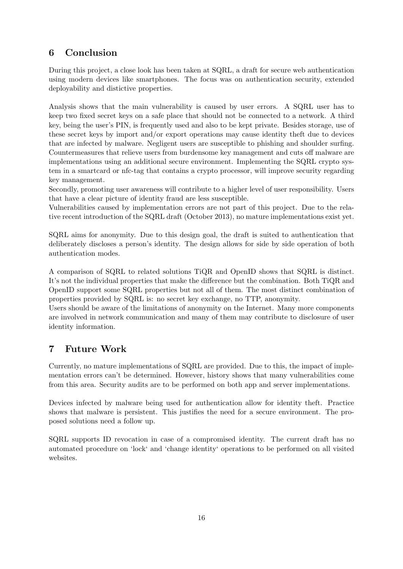# 6 Conclusion

During this project, a close look has been taken at SQRL, a draft for secure web authentication using modern devices like smartphones. The focus was on authentication security, extended deployability and distictive properties.

Analysis shows that the main vulnerability is caused by user errors. A SQRL user has to keep two fixed secret keys on a safe place that should not be connected to a network. A third key, being the user's PIN, is frequently used and also to be kept private. Besides storage, use of these secret keys by import and/or export operations may cause identity theft due to devices that are infected by malware. Negligent users are susceptible to phishing and shoulder surfing. Countermeasures that relieve users from burdensome key management and cuts off malware are implementations using an additional secure environment. Implementing the SQRL crypto system in a smartcard or nfc-tag that contains a crypto processor, will improve security regarding key management.

Secondly, promoting user awareness will contribute to a higher level of user responsibility. Users that have a clear picture of identity fraud are less susceptible.

Vulnerabilities caused by implementation errors are not part of this project. Due to the relative recent introduction of the SQRL draft (October 2013), no mature implementations exist yet.

SQRL aims for anonymity. Due to this design goal, the draft is suited to authentication that deliberately discloses a person's identity. The design allows for side by side operation of both authentication modes.

A comparison of SQRL to related solutions TiQR and OpenID shows that SQRL is distinct. It's not the individual properties that make the difference but the combination. Both TiQR and OpenID support some SQRL properties but not all of them. The most distinct combination of properties provided by SQRL is: no secret key exchange, no TTP, anonymity.

Users should be aware of the limitations of anonymity on the Internet. Many more components are involved in network communication and many of them may contribute to disclosure of user identity information.

# 7 Future Work

Currently, no mature implementations of SQRL are provided. Due to this, the impact of implementation errors can't be determined. However, history shows that many vulnerabilities come from this area. Security audits are to be performed on both app and server implementations.

Devices infected by malware being used for authentication allow for identity theft. Practice shows that malware is persistent. This justifies the need for a secure environment. The proposed solutions need a follow up.

SQRL supports ID revocation in case of a compromised identity. The current draft has no automated procedure on 'lock' and 'change identity' operations to be performed on all visited websites.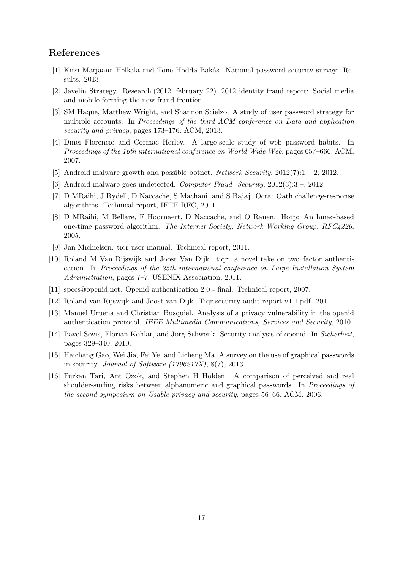### References

- [1] Kirsi Marjaana Helkala and Tone Hoddø Bakås. National password security survey: Results. 2013.
- [2] Javelin Strategy. Research.(2012, february 22). 2012 identity fraud report: Social media and mobile forming the new fraud frontier.
- [3] SM Haque, Matthew Wright, and Shannon Scielzo. A study of user password strategy for multiple accounts. In Proceedings of the third ACM conference on Data and application security and privacy, pages 173–176. ACM, 2013.
- [4] Dinei Florencio and Cormac Herley. A large-scale study of web password habits. In Proceedings of the 16th international conference on World Wide Web, pages 657–666. ACM, 2007.
- [5] Android malware growth and possible botnet. Network Security, 2012(7):1 2, 2012.
- [6] Android malware goes undetected. Computer Fraud Security, 2012(3):3 –, 2012.
- [7] D MRaihi, J Rydell, D Naccache, S Machani, and S Bajaj. Ocra: Oath challenge-response algorithms. Technical report, IETF RFC, 2011.
- [8] D MRaihi, M Bellare, F Hoornaert, D Naccache, and O Ranen. Hotp: An hmac-based one-time password algorithm. The Internet Society, Network Working Group. RFC4226, 2005.
- [9] Jan Michielsen. tiqr user manual. Technical report, 2011.
- [10] Roland M Van Rijswijk and Joost Van Dijk. tiqr: a novel take on two–factor authentication. In Proceedings of the 25th international conference on Large Installation System Administration, pages 7–7. USENIX Association, 2011.
- [11] specs@openid.net. Openid authentication 2.0 final. Technical report, 2007.
- [12] Roland van Rijswijk and Joost van Dijk. Tiqr-security-audit-report-v1.1.pdf. 2011.
- [13] Manuel Uruena and Christian Busquiel. Analysis of a privacy vulnerability in the openid authentication protocol. IEEE Multimedia Communications, Services and Security, 2010.
- [14] Pavol Sovis, Florian Kohlar, and Jörg Schwenk. Security analysis of openid. In Sicherheit, pages 329–340, 2010.
- [15] Haichang Gao, Wei Jia, Fei Ye, and Licheng Ma. A survey on the use of graphical passwords in security. Journal of Software  $(1796217X), 8(7), 2013$ .
- [16] Furkan Tari, Ant Ozok, and Stephen H Holden. A comparison of perceived and real shoulder-surfing risks between alphanumeric and graphical passwords. In Proceedings of the second symposium on Usable privacy and security, pages 56–66. ACM, 2006.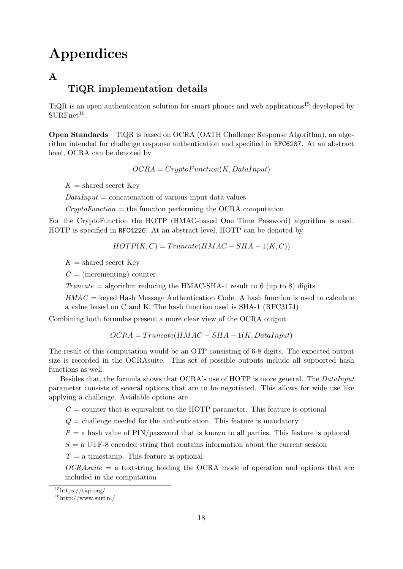# Appendices

A

# TiQR implementation details

TiQR is an open authentication solution for smart phones and web applications<sup>15</sup> developed by  $\text{SURFnet}^{16}$ .

Open Standards TiQR is based on OCRA (OATH Challenge Response Algorithm), an algorithm intended for challenge response authentication and specified in RFC6287. At an abstract level, OCRA can be denoted by

 $OCRA = CryptoFunction(K, DataInput)$ 

 $K =$ shared secret Key

 $DataInput = concatenation of various input data values$ 

 $CryptoFunction =$  the function performing the OCRA computation

For the CryptoFunction the HOTP (HMAC-based One Time Password) algorithm is used. HOTP is specified in RFC4226. At an abstract level, HOTP can be denoted by

 $HOTP(K, C) = Truncated(HMAC - SHA - 1(K, C))$ 

 $K =$  shared secret Key

 $C = (incrementing) counter$ 

Truncate = algorithm reducing the HMAC-SHA-1 result to 6 (up to 8) digits

 $HMAC =$  keyed Hash Message Authentication Code. A hash function is used to calculate a value based on C and K. The hash function used is SHA-1 (RFC3174)

Combining both formulas present a more clear view of the OCRA output.

 $OCRA = Truncated HMAC - SHA - 1(K, DataInput)$ 

The result of this computation would be an OTP consisting of 6-8 digits. The expected output size is recorded in the OCRAsuite. This set of possible outputs include all supported hash functions as well.

Besides that, the formula shows that OCRA's use of HOTP is more general. The *DataInput* parameter consists of several options that are to be negotiated. This allows for wide use like applying a challenge. Available options are

 $C =$  counter that is equivalent to the HOTP parameter. This feature is optional

 $Q =$  challenge needed for the authentication. This feature is mandatory

 $P = a$  hash value of PIN/password that is known to all parties. This feature is optional

 $S = a \text{ UTF-8 encoded string that contains information about the current session}$ 

 $T = a$  timestamp. This feature is optional

 $OCRAsuite =$  a textstring holding the OCRA mode of operation and options that are included in the computation

<sup>15</sup>https://tiqr.org/

<sup>16</sup>http://www.surf.nl/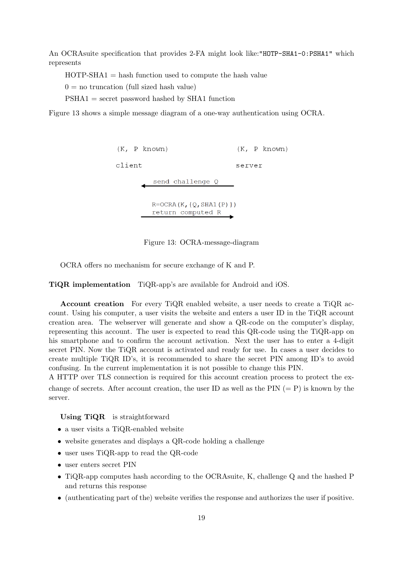An OCRAsuite specification that provides 2-FA might look like:"HOTP-SHA1-0:PSHA1" which represents

 $HOTP-SHA1 =$  hash function used to compute the hash value

 $0 =$  no truncation (full sized hash value)

 $PSHA1 = secret$  password hashed by SHA1 function

Figure 13 shows a simple message diagram of a one-way authentication using OCRA.

 $(K, P \; known)$  $(K, P \t known)$ client server send challenge Q  $R=OCRA(K, {Q, SHA1 (P)} )$ return computed R

Figure 13: OCRA-message-diagram

OCRA offers no mechanism for secure exchange of K and P.

TiQR implementation TiQR-app's are available for Android and iOS.

Account creation For every TiQR enabled website, a user needs to create a TiQR account. Using his computer, a user visits the website and enters a user ID in the TiQR account creation area. The webserver will generate and show a QR-code on the computer's display, representing this account. The user is expected to read this QR-code using the TiQR-app on his smartphone and to confirm the account activation. Next the user has to enter a 4-digit secret PIN. Now the TiQR account is activated and ready for use. In cases a user decides to create multiple TiQR ID's, it is recommended to share the secret PIN among ID's to avoid confusing. In the current implementation it is not possible to change this PIN.

A HTTP over TLS connection is required for this account creation process to protect the exchange of secrets. After account creation, the user ID as well as the PIN  $(= P)$  is known by the server.

Using TiQR is straightforward

- a user visits a TiQR-enabled website
- website generates and displays a QR-code holding a challenge
- user uses TiQR-app to read the QR-code
- user enters secret PIN
- TiQR-app computes hash according to the OCRAsuite, K, challenge Q and the hashed P and returns this response
- (authenticating part of the) website verifies the response and authorizes the user if positive.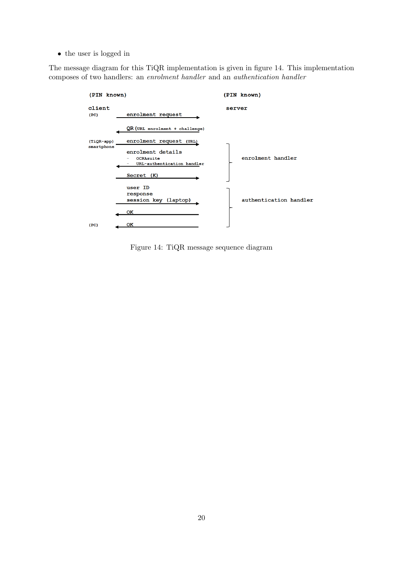• the user is logged in

The message diagram for this TiQR implementation is given in figure 14. This implementation composes of two handlers: an enrolment handler and an authentication handler



Figure 14: TiQR message sequence diagram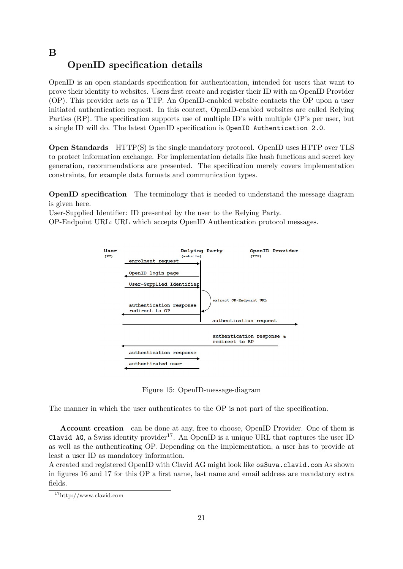# B OpenID specification details

OpenID is an open standards specification for authentication, intended for users that want to prove their identity to websites. Users first create and register their ID with an OpenID Provider (OP). This provider acts as a TTP. An OpenID-enabled website contacts the OP upon a user initiated authentication request. In this context, OpenID-enabled websites are called Relying Parties (RP). The specification supports use of multiple ID's with multiple OP's per user, but a single ID will do. The latest OpenID specification is OpenID Authentication 2.0.

Open Standards HTTP(S) is the single mandatory protocol. OpenID uses HTTP over TLS to protect information exchange. For implementation details like hash functions and secret key generation, recommendations are presented. The specification merely covers implementation constraints, for example data formats and communication types.

OpenID specification The terminology that is needed to understand the message diagram is given here.

User-Supplied Identifier: ID presented by the user to the Relying Party.

OP-Endpoint URL: URL which accepts OpenID Authentication protocol messages.



Figure 15: OpenID-message-diagram

The manner in which the user authenticates to the OP is not part of the specification.

Account creation can be done at any, free to choose, OpenID Provider. One of them is Clavid AG, a Swiss identity provider<sup>17</sup>. An OpenID is a unique URL that captures the user ID as well as the authenticating OP. Depending on the implementation, a user has to provide at least a user ID as mandatory information.

A created and registered OpenID with Clavid AG might look like os3uva.clavid.com As shown in figures 16 and 17 for this OP a first name, last name and email address are mandatory extra fields.

<sup>17</sup>http://www.clavid.com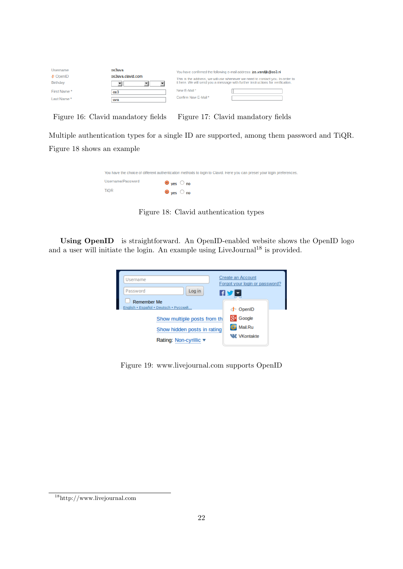| Username                                 | os3uva            | You have confirmed the following e-mail address: jos.vandijk@os3.nl                                                                                             |
|------------------------------------------|-------------------|-----------------------------------------------------------------------------------------------------------------------------------------------------------------|
| d <sup>+</sup> OpenID<br><b>Birthday</b> | os3uva.clavid.com | This is the address, we will use whenever we need to contact you. In order t<br>it here. We will send you a message with further instructions for verification. |
| First Name*                              | $os3$             | New E-Mail*                                                                                                                                                     |
| Last Name *                              | uva               | Confirm New E-Mail*                                                                                                                                             |

Figure 16: Clavid mandatory fields Figure 17: Clavid mandatory fields

Multiple authentication types for a single ID are supported, among them password and TiQR. Figure 18 shows an example

| You have the choice of different authentication methods to login to Clavid. Here you can preset your login preferences. |                          |  |  |
|-------------------------------------------------------------------------------------------------------------------------|--------------------------|--|--|
| Username/Password                                                                                                       | $\bullet$ yes $\circ$ no |  |  |
| <b>TiOR</b>                                                                                                             | $\bullet$ ves $\circ$ no |  |  |

Figure 18: Clavid authentication types

Using OpenID is straightforward. An OpenID-enabled website shows the OpenID logo and a user will initiate the login. An example using LiveJournal<sup>18</sup> is provided.

| Username<br>Password<br>Log in<br><b>Remember Me</b><br>English • Español • Deutsch • Русский<br>Show multiple posts from th<br>Show hidden posts in rating<br>Rating: Non-cyrillic ▼ | Create an Account<br>Forgot your login or password?<br><b>Hyd</b><br><b>d</b> OpenID<br>Google<br>Mail.Ru<br><b>W</b> VKontakte |
|---------------------------------------------------------------------------------------------------------------------------------------------------------------------------------------|---------------------------------------------------------------------------------------------------------------------------------|
|---------------------------------------------------------------------------------------------------------------------------------------------------------------------------------------|---------------------------------------------------------------------------------------------------------------------------------|

Figure 19: www.livejournal.com supports OpenID

<sup>18</sup>http://www.livejournal.com